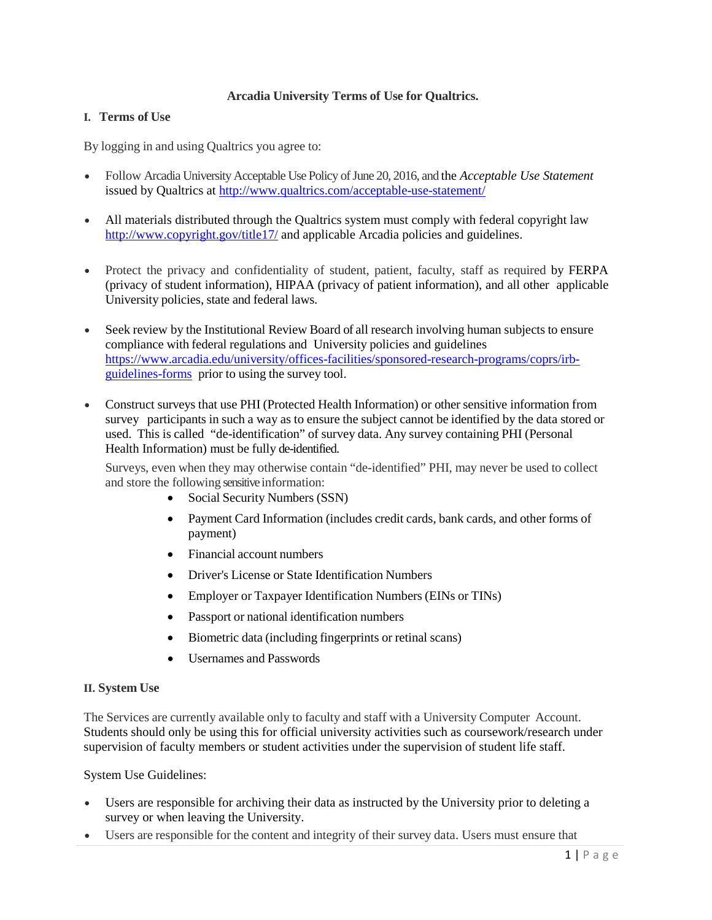## **Arcadia University Terms of Use for Qualtrics.**

## **I. Terms of Use**

By logging in and using Qualtrics you agree to:

- Follow Arcadia University Acceptable Use Policy of June 20, 2016, and the *Acceptable Use Statement*  issued by Qualtrics at<http://www.qualtrics.com/acceptable-use-statement/>
- All materials distributed through the Qualtrics system must comply with federal copyright law <http://www.copyright.gov/title17/> and applicable Arcadia policies and guidelines.
- Protect the privacy and confidentiality of student, patient, faculty, staff as required by FERPA (privacy of student information), HIPAA (privacy of patient information), and all other applicable University policies, state and federal laws.
- Seek review by the Institutional Review Board of all research involving human subjects to ensure compliance with federal regulations and University policies and guidelines [https://www.arcadia.edu/university/offices-facilities/sponsored-research-programs/coprs/irb](https://www.arcadia.edu/university/offices-facilities/sponsored-research-programs/coprs/irb-guidelines-forms)[guidelines-forms](https://www.arcadia.edu/university/offices-facilities/sponsored-research-programs/coprs/irb-guidelines-forms) prior to using the survey tool.
- Construct surveys that use PHI (Protected Health Information) or other sensitive information from survey participants in such a way as to ensure the subject cannot be identified by the data stored or used. This is called "de-identification" of survey data. Any survey containing PHI (Personal Health Information) must be fully de-identified.

Surveys, even when they may otherwise contain "de-identified" PHI, may never be used to collect and store the following sensitive information:

- Social Security Numbers (SSN)
- Payment Card Information (includes credit cards, bank cards, and other forms of payment)
- Financial account numbers
- Driver's License or State Identification Numbers
- Employer or Taxpayer Identification Numbers (EINs or TINs)
- Passport or national identification numbers
- Biometric data (including fingerprints or retinal scans)
- Usernames and Passwords

## **II. System Use**

The Services are currently available only to faculty and staff with a University Computer Account. Students should only be using this for official university activities such as coursework/research under supervision of faculty members or student activities under the supervision of student life staff.

System Use Guidelines:

- Users are responsible for archiving their data as instructed by the University prior to deleting a survey or when leaving the University.
- Users are responsible for the content and integrity of their survey data. Users must ensure that